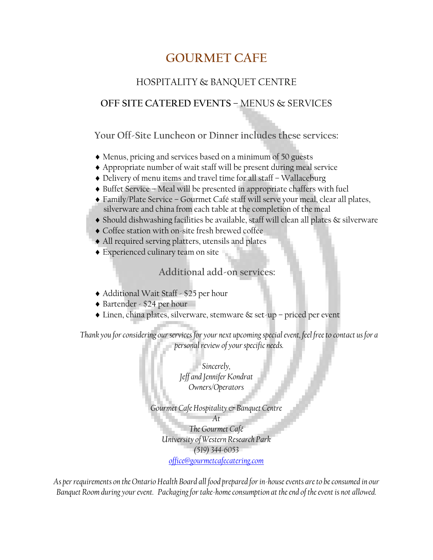# **GOURMET CAFE**

### HOSPITALITY & BANQUET CENTRE

### **OFF SITE CATERED EVENTS** – MENUS & SERVICES

**Your Off-Site Luncheon or Dinner includes these services:**

- Menus, pricing and services based on a minimum of 50 guests
- Appropriate number of wait staff will be present during meal service
- Delivery of menu items and travel time for all staff Wallaceburg
- Buffet Service Meal will be presented in appropriate chaffers with fuel
- Family/Plate Service Gourmet Café staff will serve your meal, clear all plates, silverware and china from each table at the completion of the meal
- Should dishwashing facilities be available, staff will clean all plates & silverware
- Coffee station with on-site fresh brewed coffee
- All required serving platters, utensils and plates
- Experienced culinary team on site

**Additional add-on services:**

- Additional Wait Staff \$25 per hour
- ◆ Bartender \$24 per hour
- Linen, china plates, silverware, stemware & set-up priced per event

*Thank you for considering our services for your next upcoming special event, feel free to contact us for a personal review of your specific needs.*

> *Sincerely, Jeff and Jennifer Kondrat Owners/Operators*

*Gourmet Cafe Hospitality & Banquet Centre*

*At*

*The Gourmet Café University of Western Research Park (519) 344-6053 office@gourmetcafecatering.com*

*As per requirements on the Ontario Health Board all food prepared for in-house events are to be consumed in our Banquet Room during your event. Packaging for take-home consumption at the end of the event is not allowed.*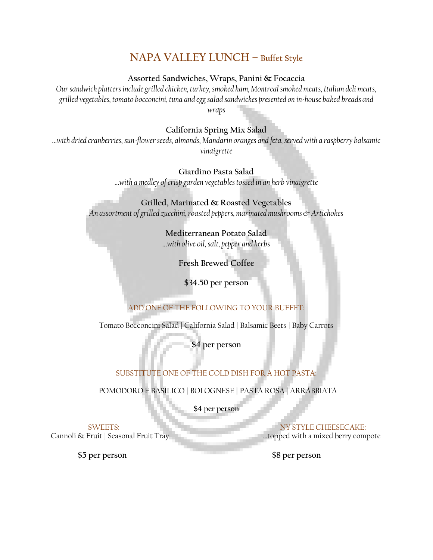## **NAPA VALLEY LUNCH – Buffet Style**

**Assorted Sandwiches, Wraps, Panini & Focaccia**

*Our sandwich platters include grilled chicken, turkey, smoked ham, Montreal smoked meats, Italian deli meats, grilled vegetables, tomato bocconcini, tuna and egg salad sandwiches presented on in-house baked breads and wraps*

**California Spring Mix Salad** 

*…with dried cranberries, sun-flower seeds, almonds, Mandarin oranges and feta, served with a raspberry balsamic vinaigrette*

> **Giardino Pasta Salad** *…with a medley ofcrisp garden vegetables tossed in an herb vinaigrette*

**Grilled, Marinated & Roasted Vegetables** An assortment of grilled zucchini, roasted peppers, marinated mushrooms & Artichokes

> **Mediterranean Potato Salad** *…with olive oil, salt, pepper and herbs*

> > **Fresh Brewed Coffee**

**\$34.50 per person**

ADD ONE OF THE FOLLOWING TO YOUR BUFFET:

Tomato Bocconcini Salad | California Salad | Balsamic Beets | Baby Carrots

**\$4 per person**

SUBSTITUTE ONE OF THE COLD DISH FOR A HOT PASTA:

POMODORO E BASILICO | BOLOGNESE | PASTA ROSA | ARRABBIATA

**\$4 per person**

Cannoli & Fruit | Seasonal Fruit Tray …topped with a mixed berry compote

SWEETS: NY STYLE CHEESECAKE: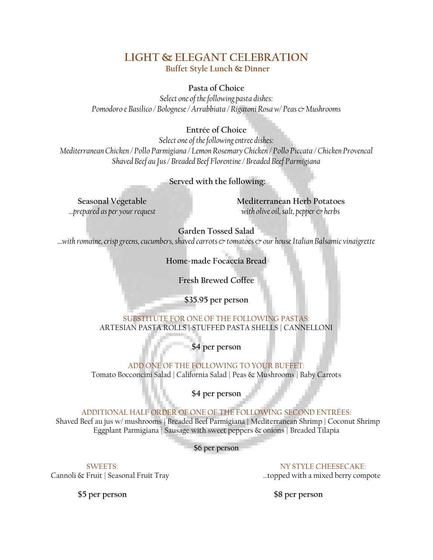### **LIGHT & ELEGANT CELEBRATION Buffet Style Lunch & Dinner**

#### **Pasta of Choice**

*Select one of the following pasta dishes: Pomodoro e Basilico / Bolognese / Arrabbiata / Rigatoni Rosa w/ Peas & Mushrooms* 

#### **Entrée of Choice**

*Select one of the following entree dishes: Mediterranean Chicken / Pollo Parmigiana / Lemon Rosemary Chicken / Pollo Piccata / Chicken Provencal Shaved Beef au Jus / Breaded Beef Florentine / Breaded Beef Parmigiana*

**Served with the following:**

**Seasonal Vegetable Mediterranean Herb Potatoes**  *…prepared as per your request with olive oil, salt, pepper & herbs*

**Garden Tossed Salad**  *…with romaine, crisp greens, cucumbers, shaved carrots & tomatoes & our house Italian Balsamic vinaigrette*

**Home-made Focaccia Bread**

**Fresh Brewed Coffee**

**\$35.95 per person**

SUBSTITUTE FOR ONE OF THE FOLLOWING PASTAS: ARTESIAN PASTA ROLLS | STUFFED PASTA SHELLS | CANNELLONI

**\$4 per person**

ADD ONE OF THE FOLLOWING TO YOUR BUFFET: Tomato Bocconcini Salad | California Salad | Peas & Mushrooms | Baby Carrots

**\$4 per person**

ADDITIONAL HALF ORDER OF ONE OF THE FOLLOWING SECOND ENTRÉES: Shaved Beef au jus w/ mushrooms | Breaded Beef Parmigiana | Mediterranean Shrimp | Coconut Shrimp Eggplant Parmigiana | Sausage with sweet peppers & onions | Breaded Tilapia

**\$6 per person**

Cannoli & Fruit | Seasonal Fruit Tray …topped with a mixed berry compote

SWEETS: NY STYLE CHEESECAKE: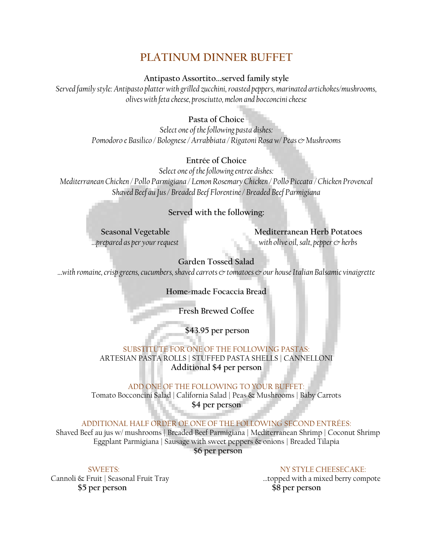## **PLATINUM DINNER BUFFET**

**Antipasto Assortito...served family style**

*Served family style: Antipasto platter with grilled zucchini, roasted peppers, marinated artichokes/mushrooms, olives with feta cheese, prosciutto, melon and bocconcini cheese*

#### **Pasta of Choice**

*Select one of the following pasta dishes: Pomodoro e Basilico / Bolognese / Arrabbiata / Rigatoni Rosa w/ Peas & Mushrooms* 

#### **Entrée of Choice**

*Select one of the following entree dishes: Mediterranean Chicken / Pollo Parmigiana / Lemon Rosemary Chicken / Pollo Piccata / Chicken Provencal Shaved Beef au Jus / Breaded Beef Florentine / Breaded Beef Parmigiana*

#### **Served with the following:**

**Seasonal Vegetable Mediterranean Herb Potatoes**  *…prepared as per your request with olive oil, salt, pepper & herbs*

### **Garden Tossed Salad**

*…with romaine, crisp greens, cucumbers, shaved carrots & tomatoes & our house Italian Balsamic vinaigrette*

**Home-made Focaccia Bread**

**Fresh Brewed Coffee**

**\$43.95 per person**

SUBSTITUTE FOR ONE OF THE FOLLOWING PASTAS: ARTESIAN PASTA ROLLS | STUFFED PASTA SHELLS | CANNELLONI **Additional \$4 per person**

ADD ONE OF THE FOLLOWING TO YOUR BUFFET: Tomato Bocconcini Salad | California Salad | Peas & Mushrooms | Baby Carrots **\$4 per person**

ADDITIONAL HALF ORDER OF ONE OF THE FOLLOWING SECOND ENTRÉES: Shaved Beef au jus w/ mushrooms | Breaded Beef Parmigiana | Mediterranean Shrimp | Coconut Shrimp Eggplant Parmigiana | Sausage with sweet peppers & onions | Breaded Tilapia **\$6 per person**

Cannoli & Fruit | Seasonal Fruit Tray …topped with a mixed berry compote  **\$5 per person \$8 per person**

SWEETS: NY STYLE CHEESECAKE: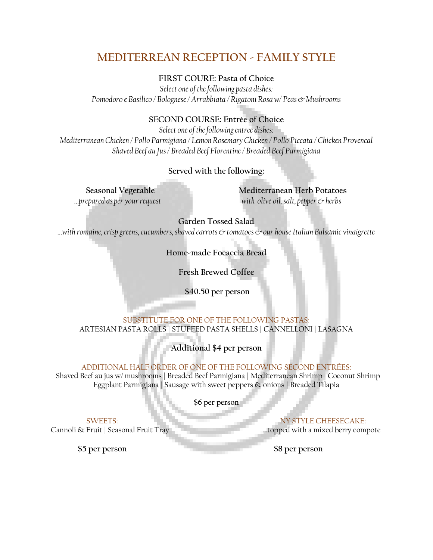## **MEDITERREAN RECEPTION - FAMILY STYLE**

#### **FIRST COURE: Pasta of Choice**

*Select one of the following pasta dishes: Pomodoro e Basilico / Bolognese / Arrabbiata / Rigatoni Rosa w/ Peas & Mushrooms* 

#### **SECOND COURSE: Entrée of Choice**

*Select one of the following entree dishes: Mediterranean Chicken / Pollo Parmigiana / Lemon Rosemary Chicken / Pollo Piccata / Chicken Provencal Shaved Beef au Jus / Breaded Beef Florentine / Breaded Beef Parmigiana*

**Served with the following:**

**Seasonal Vegetable Mediterranean Herb Potatoes**  *…prepared as per your request with olive oil, salt, pepper & herbs*

**Garden Tossed Salad** 

*…with romaine, crisp greens, cucumbers, shaved carrots & tomatoes & our house Italian Balsamic vinaigrette*

**Home-made Focaccia Bread**

**Fresh Brewed Coffee**

**\$40.50 per person**

#### SUBSTITUTE FOR ONE OF THE FOLLOWING PASTAS: ARTESIAN PASTA ROLLS | STUFFED PASTA SHELLS | CANNELLONI | LASAGNA

**Additional \$4 per person**

ADDITIONAL HALF ORDER OF ONE OF THE FOLLOWING SECOND ENTRÉES:

Shaved Beef au jus w/ mushrooms | Breaded Beef Parmigiana | Mediterranean Shrimp | Coconut Shrimp Eggplant Parmigiana | Sausage with sweet peppers & onions | Breaded Tilapia

**\$6 per person**

Cannoli & Fruit | Seasonal Fruit Tray

SWEETS:<br>
Fruit | Seasonal Fruit Tray<br>
Fruit | Seasonal Fruit Tray<br>
MY STYLE CHEESECAKE: